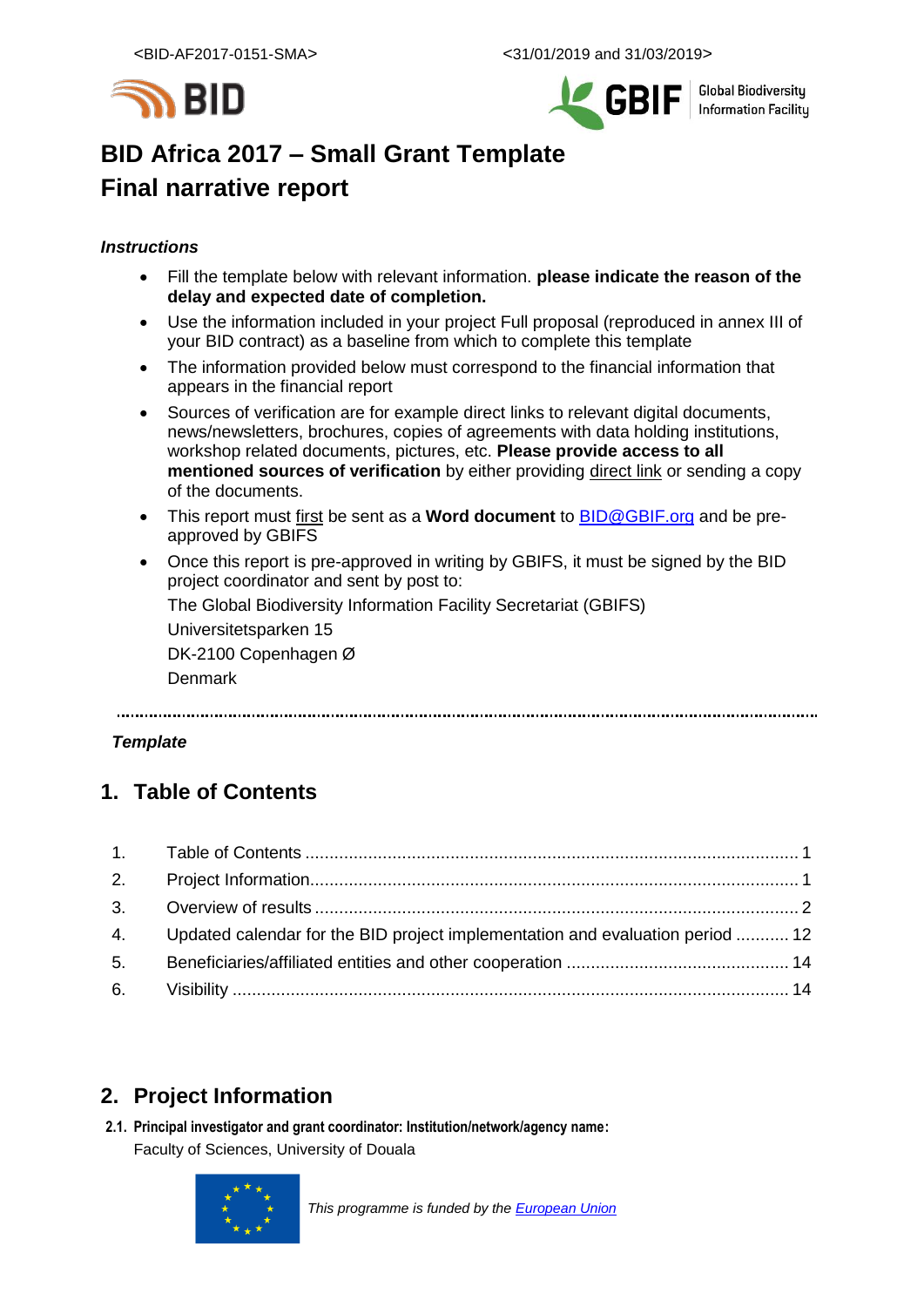



**Global Biodiversity** Information Facilitu

# **BID Africa 2017 – Small Grant Template Final narrative report**

### *Instructions*

- Fill the template below with relevant information. **please indicate the reason of the delay and expected date of completion.**
- Use the information included in your project Full proposal (reproduced in annex III of your BID contract) as a baseline from which to complete this template
- The information provided below must correspond to the financial information that appears in the financial report
- Sources of verification are for example direct links to relevant digital documents, news/newsletters, brochures, copies of agreements with data holding institutions, workshop related documents, pictures, etc. **Please provide access to all mentioned sources of verification** by either providing direct link or sending a copy of the documents.
- This report must first be sent as a **Word document** to **BID@GBIF.org** and be preapproved by GBIFS
- Once this report is pre-approved in writing by GBIFS, it must be signed by the BID project coordinator and sent by post to:

The Global Biodiversity Information Facility Secretariat (GBIFS)

Universitetsparken 15 DK-2100 Copenhagen Ø

Denmark

### *Template*

# <span id="page-0-0"></span>**1. Table of Contents**

|    | 4. Updated calendar for the BID project implementation and evaluation period  12 |  |
|----|----------------------------------------------------------------------------------|--|
| 5. |                                                                                  |  |
|    |                                                                                  |  |

# <span id="page-0-1"></span>**2. Project Information**

**2.1. Principal investigator and grant coordinator: Institution/network/agency name:** Faculty of Sciences, University of Douala

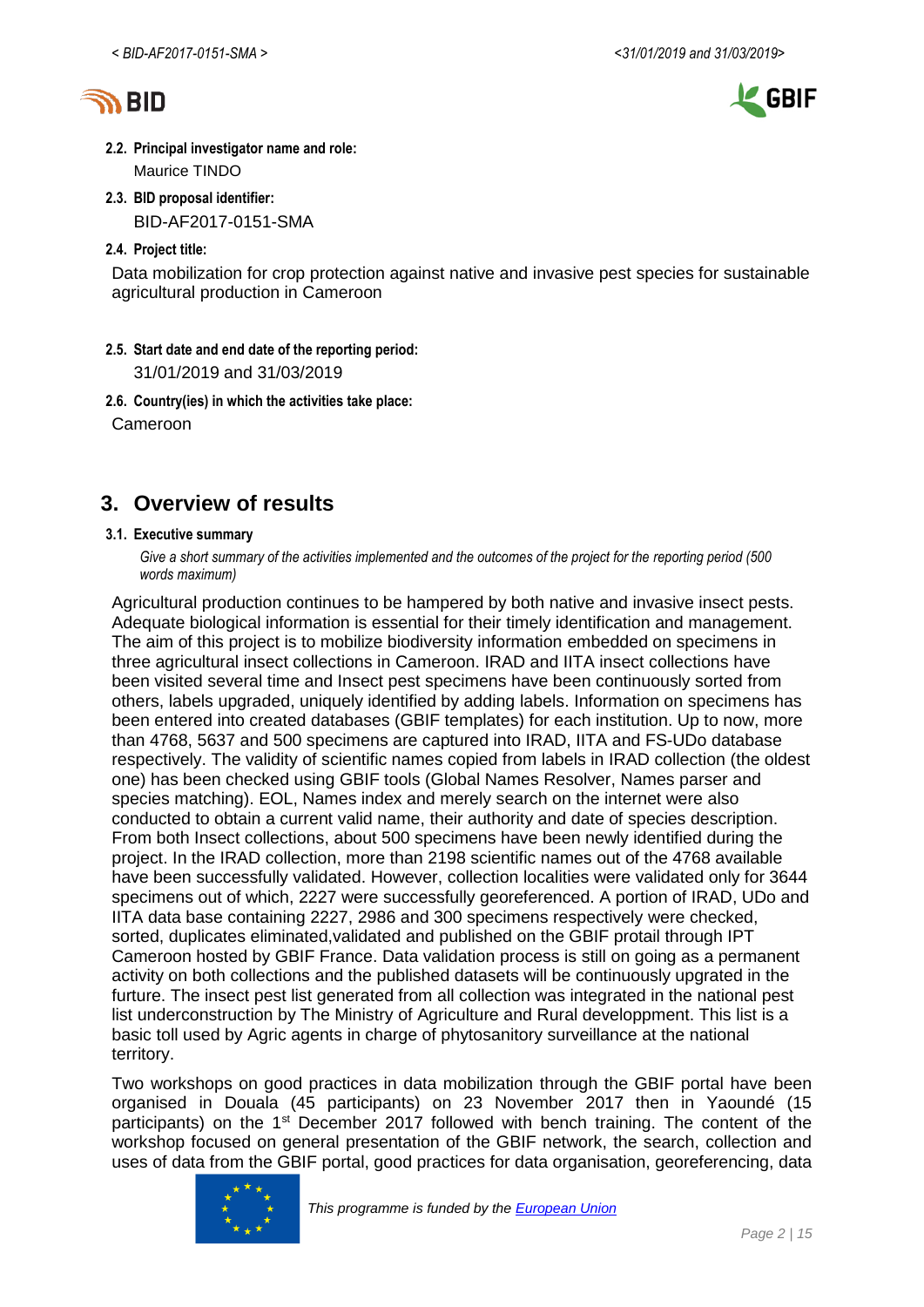



- **2.2. Principal investigator name and role:** Maurice TINDO
- **2.3. BID proposal identifier:** BID-AF2017-0151-SMA

#### **2.4. Project title:**

Data mobilization for crop protection against native and invasive pest species for sustainable agricultural production in Cameroon

**2.5. Start date and end date of the reporting period:**

31/01/2019 and 31/03/2019

**2.6. Country(ies) in which the activities take place:**

Cameroon

# <span id="page-1-0"></span>**3. Overview of results**

#### **3.1. Executive summary**

Give a short summary of the activities implemented and the outcomes of the project for the *reporting period* (500 *words maximum)*

Agricultural production continues to be hampered by both native and invasive insect pests. Adequate biological information is essential for their timely identification and management. The aim of this project is to mobilize biodiversity information embedded on specimens in three agricultural insect collections in Cameroon. IRAD and IITA insect collections have been visited several time and Insect pest specimens have been continuously sorted from others, labels upgraded, uniquely identified by adding labels. Information on specimens has been entered into created databases (GBIF templates) for each institution. Up to now, more than 4768, 5637 and 500 specimens are captured into IRAD, IITA and FS-UDo database respectively. The validity of scientific names copied from labels in IRAD collection (the oldest one) has been checked using GBIF tools (Global Names Resolver, Names parser and species matching). EOL, Names index and merely search on the internet were also conducted to obtain a current valid name, their authority and date of species description. From both Insect collections, about 500 specimens have been newly identified during the project. In the IRAD collection, more than 2198 scientific names out of the 4768 available have been successfully validated. However, collection localities were validated only for 3644 specimens out of which, 2227 were successfully georeferenced. A portion of IRAD, UDo and IITA data base containing 2227, 2986 and 300 specimens respectively were checked, sorted, duplicates eliminated,validated and published on the GBIF protail through IPT Cameroon hosted by GBIF France. Data validation process is still on going as a permanent activity on both collections and the published datasets will be continuously upgrated in the furture. The insect pest list generated from all collection was integrated in the national pest list underconstruction by The Ministry of Agriculture and Rural developpment. This list is a basic toll used by Agric agents in charge of phytosanitory surveillance at the national territory.

Two workshops on good practices in data mobilization through the GBIF portal have been organised in Douala (45 participants) on 23 November 2017 then in Yaoundé (15 participants) on the  $1<sup>st</sup>$  December 2017 followed with bench training. The content of the workshop focused on general presentation of the GBIF network, the search, collection and uses of data from the GBIF portal, good practices for data organisation, georeferencing, data

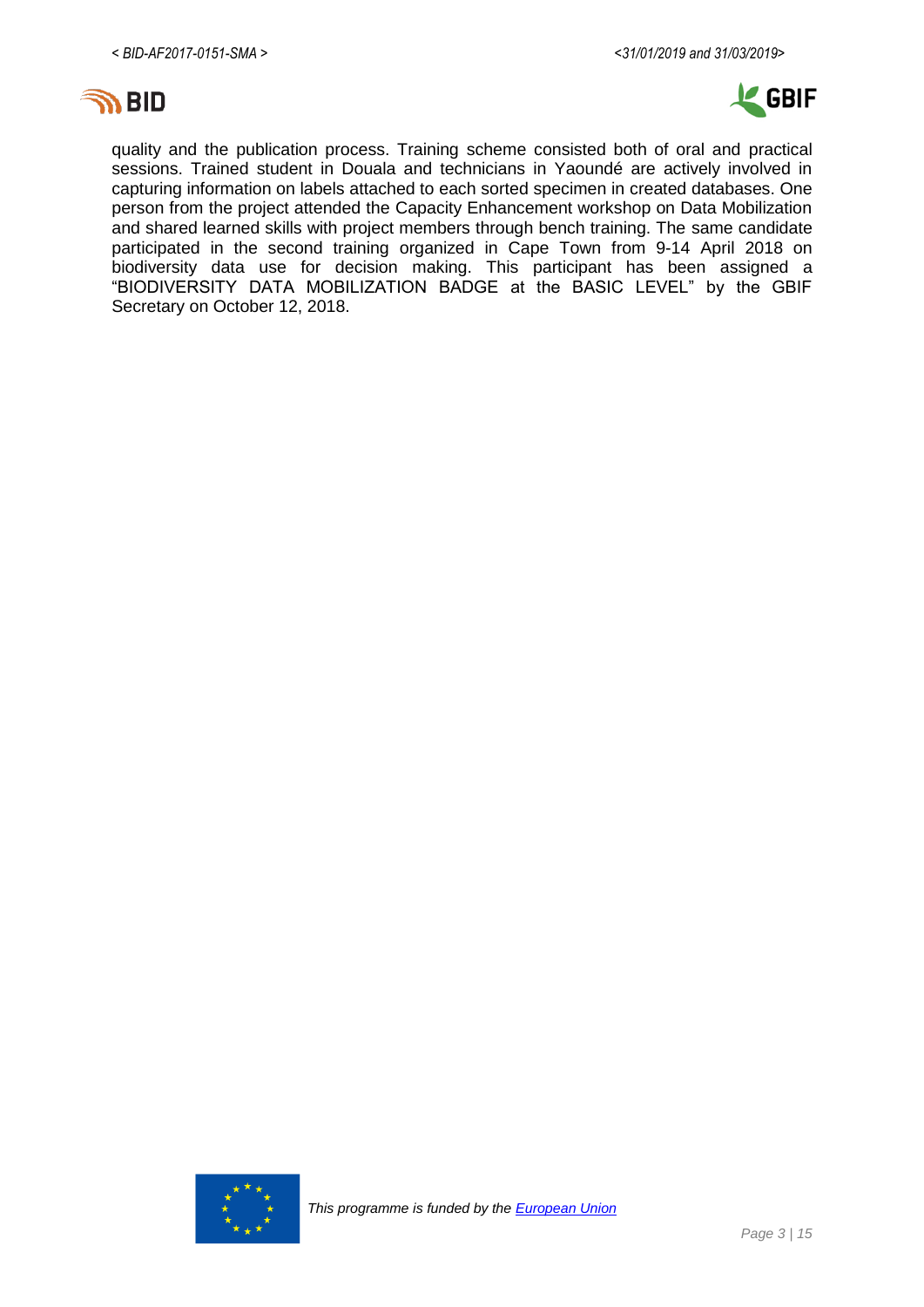



quality and the publication process. Training scheme consisted both of oral and practical sessions. Trained student in Douala and technicians in Yaoundé are actively involved in capturing information on labels attached to each sorted specimen in created databases. One person from the project attended the Capacity Enhancement workshop on Data Mobilization and shared learned skills with project members through bench training. The same candidate participated in the second training organized in Cape Town from 9-14 April 2018 on biodiversity data use for decision making. This participant has been assigned a "BIODIVERSITY DATA MOBILIZATION BADGE at the BASIC LEVEL" by the GBIF Secretary on October 12, 2018.

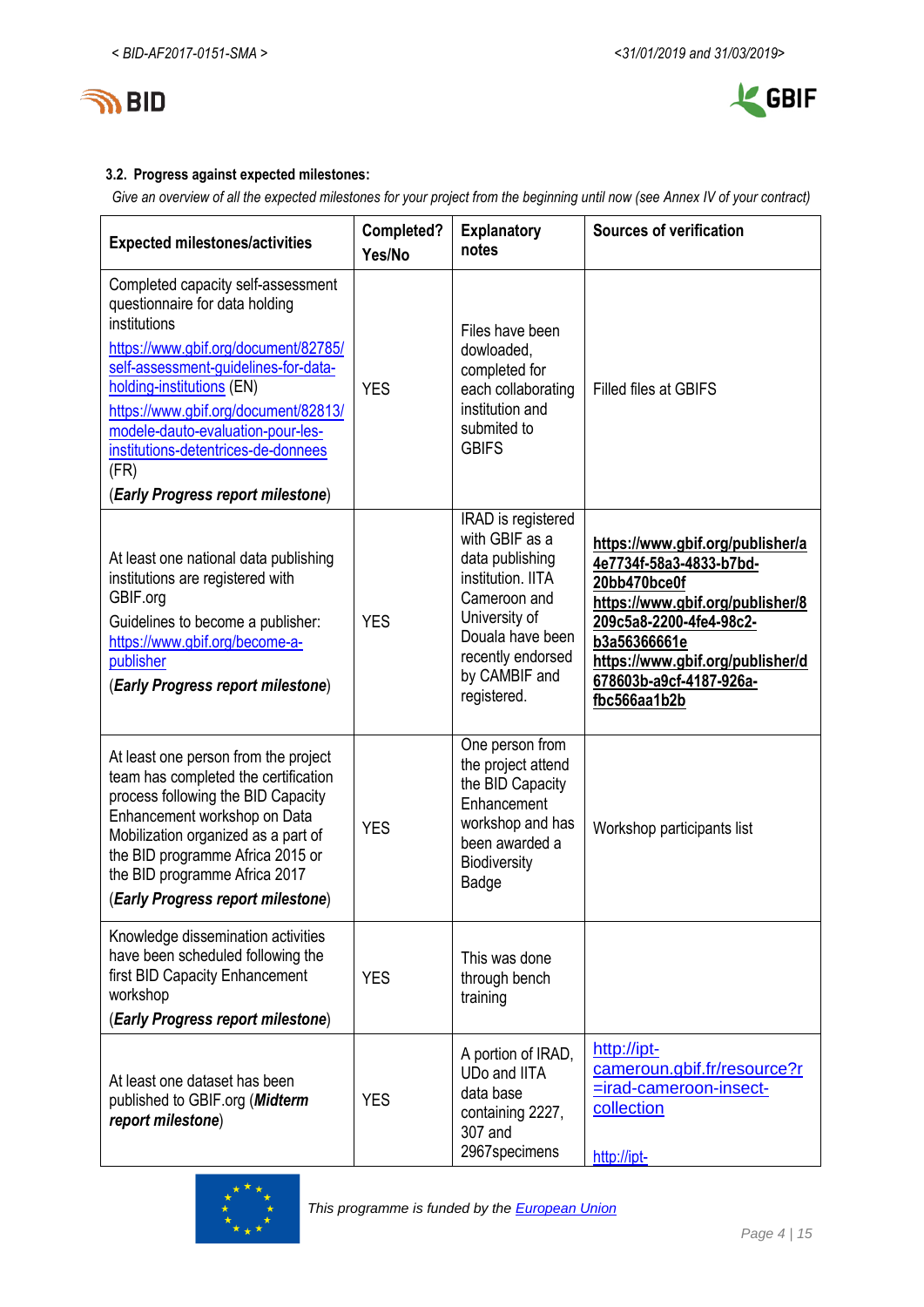



## **3.2. Progress against expected milestones:**

*Give an overview of all the expected milestones for your project from the beginning until now (see Annex IV of your contract)*

| <b>Expected milestones/activities</b>                                                                                                                                                                                                                                                                                                                              | Completed?<br>Yes/No | <b>Explanatory</b><br>notes                                                                                                                                                            | <b>Sources of verification</b>                                                                                                                                                                                                            |
|--------------------------------------------------------------------------------------------------------------------------------------------------------------------------------------------------------------------------------------------------------------------------------------------------------------------------------------------------------------------|----------------------|----------------------------------------------------------------------------------------------------------------------------------------------------------------------------------------|-------------------------------------------------------------------------------------------------------------------------------------------------------------------------------------------------------------------------------------------|
| Completed capacity self-assessment<br>questionnaire for data holding<br>institutions<br>https://www.gbif.org/document/82785/<br>self-assessment-quidelines-for-data-<br>holding-institutions (EN)<br>https://www.gbif.org/document/82813/<br>modele-dauto-evaluation-pour-les-<br>institutions-detentrices-de-donnees<br>(FR)<br>(Early Progress report milestone) | <b>YES</b>           | Files have been<br>dowloaded,<br>completed for<br>each collaborating<br>institution and<br>submited to<br><b>GBIFS</b>                                                                 | Filled files at GBIFS                                                                                                                                                                                                                     |
| At least one national data publishing<br>institutions are registered with<br>GBIF.org<br>Guidelines to become a publisher:<br>https://www.gbif.org/become-a-<br>publisher<br>(Early Progress report milestone)                                                                                                                                                     | <b>YES</b>           | IRAD is registered<br>with GBIF as a<br>data publishing<br>institution. IITA<br>Cameroon and<br>University of<br>Douala have been<br>recently endorsed<br>by CAMBIF and<br>registered. | https://www.gbif.org/publisher/a<br>4e7734f-58a3-4833-b7bd-<br>20bb470bce0f<br>https://www.gbif.org/publisher/8<br>209c5a8-2200-4fe4-98c2-<br>b3a56366661e<br>https://www.gbif.org/publisher/d<br>678603b-a9cf-4187-926a-<br>fbc566aa1b2b |
| At least one person from the project<br>team has completed the certification<br>process following the BID Capacity<br>Enhancement workshop on Data<br>Mobilization organized as a part of<br>the BID programme Africa 2015 or<br>the BID programme Africa 2017<br>(Early Progress report milestone)                                                                | <b>YES</b>           | One person from<br>the project attend<br>the BID Capacity<br>Enhancement<br>workshop and has<br>been awarded a<br>Biodiversity<br>Badge                                                | Workshop participants list                                                                                                                                                                                                                |
| Knowledge dissemination activities<br>have been scheduled following the<br>first BID Capacity Enhancement<br>workshop<br>(Early Progress report milestone)                                                                                                                                                                                                         | <b>YES</b>           | This was done<br>through bench<br>training                                                                                                                                             |                                                                                                                                                                                                                                           |
| At least one dataset has been<br>published to GBIF.org (Midterm<br>report milestone)                                                                                                                                                                                                                                                                               | <b>YES</b>           | A portion of IRAD,<br>UDo and IITA<br>data base<br>containing 2227,<br>307 and<br>2967specimens                                                                                        | http://ipt-<br>cameroun.gbif.fr/resource?r<br>=irad-cameroon-insect-<br>collection<br>http://ipt-                                                                                                                                         |

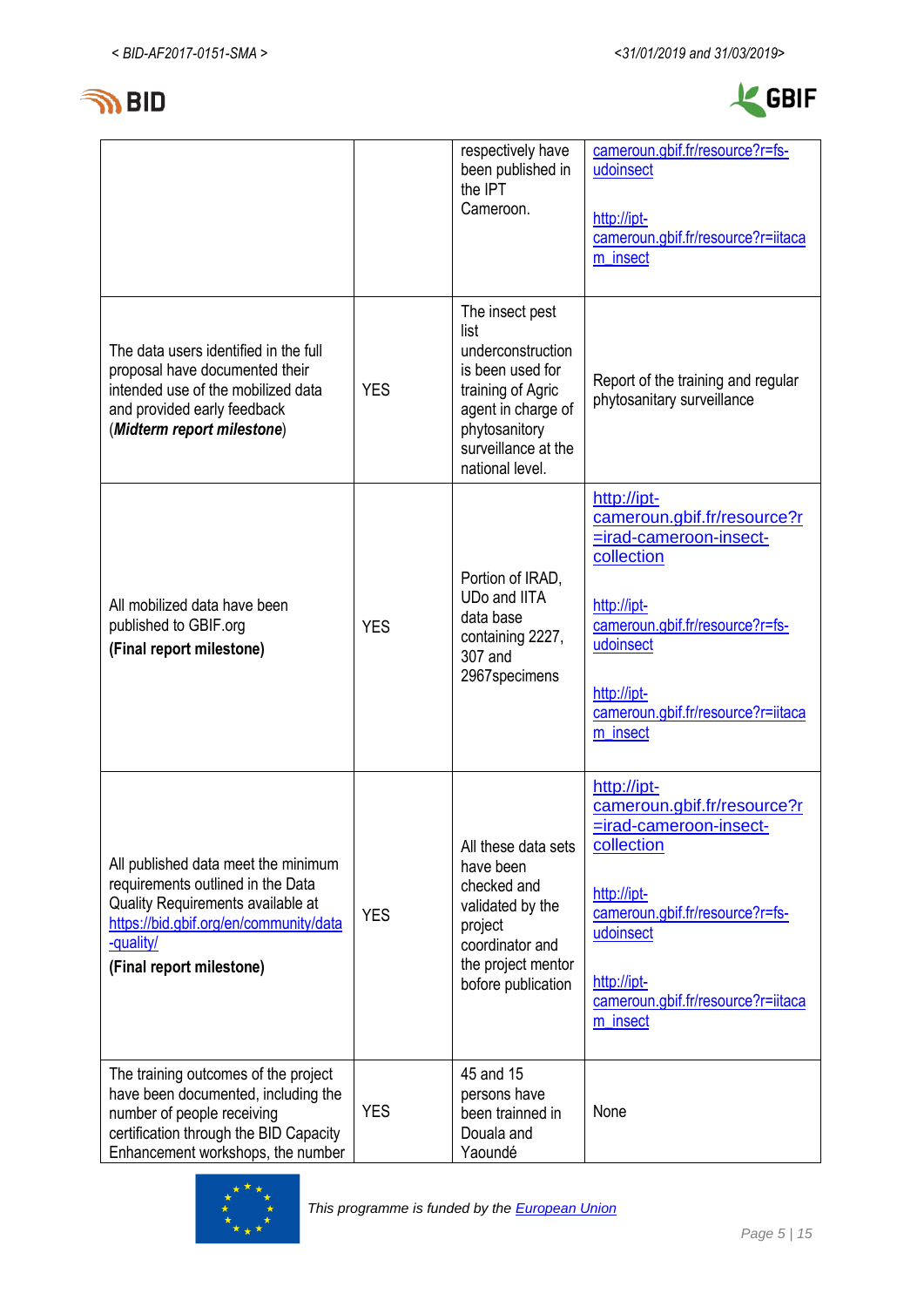



|                                                                                                                                                                                                  |            | respectively have<br>been published in<br>the IPT<br>Cameroon.                                                                                                         | cameroun.gbif.fr/resource?r=fs-<br>udoinsect<br>http://ipt-<br>cameroun.gbif.fr/resource?r=iitaca<br>m insect                                                                                                             |
|--------------------------------------------------------------------------------------------------------------------------------------------------------------------------------------------------|------------|------------------------------------------------------------------------------------------------------------------------------------------------------------------------|---------------------------------------------------------------------------------------------------------------------------------------------------------------------------------------------------------------------------|
| The data users identified in the full<br>proposal have documented their<br>intended use of the mobilized data<br>and provided early feedback<br>(Midterm report milestone)                       | <b>YES</b> | The insect pest<br>list<br>underconstruction<br>is been used for<br>training of Agric<br>agent in charge of<br>phytosanitory<br>surveillance at the<br>national level. | Report of the training and regular<br>phytosanitary surveillance                                                                                                                                                          |
| All mobilized data have been<br>published to GBIF.org<br>(Final report milestone)                                                                                                                | <b>YES</b> | Portion of IRAD,<br>UDo and IITA<br>data base<br>containing 2227,<br>307 and<br>2967 specimens                                                                         | http://ipt-<br>cameroun.gbif.fr/resource?r<br>=irad-cameroon-insect-<br>collection<br>http://ipt-<br>cameroun.gbif.fr/resource?r=fs-<br>udoinsect<br>http://ipt-<br>cameroun.gbif.fr/resource?r=iitaca<br>m insect        |
| All published data meet the minimum<br>requirements outlined in the Data<br>Quality Requirements available at<br>https://bid.gbif.org/en/community/data<br>-quality/<br>(Final report milestone) | <b>YES</b> | All these data sets<br>have been<br>checked and<br>validated by the<br>project<br>coordinator and<br>the project mentor<br>bofore publication                          | http://ipt-<br>cameroun.gbif.fr/resource?r<br><u>=irad-cameroon-insect-</u><br>collection<br>http://ipt-<br>cameroun.gbif.fr/resource?r=fs-<br>udoinsect<br>http://ipt-<br>cameroun.gbif.fr/resource?r=iitaca<br>m_insect |
| The training outcomes of the project<br>have been documented, including the<br>number of people receiving<br>certification through the BID Capacity<br>Enhancement workshops, the number         | <b>YES</b> | 45 and 15<br>persons have<br>been trainned in<br>Douala and<br>Yaoundé                                                                                                 | None                                                                                                                                                                                                                      |

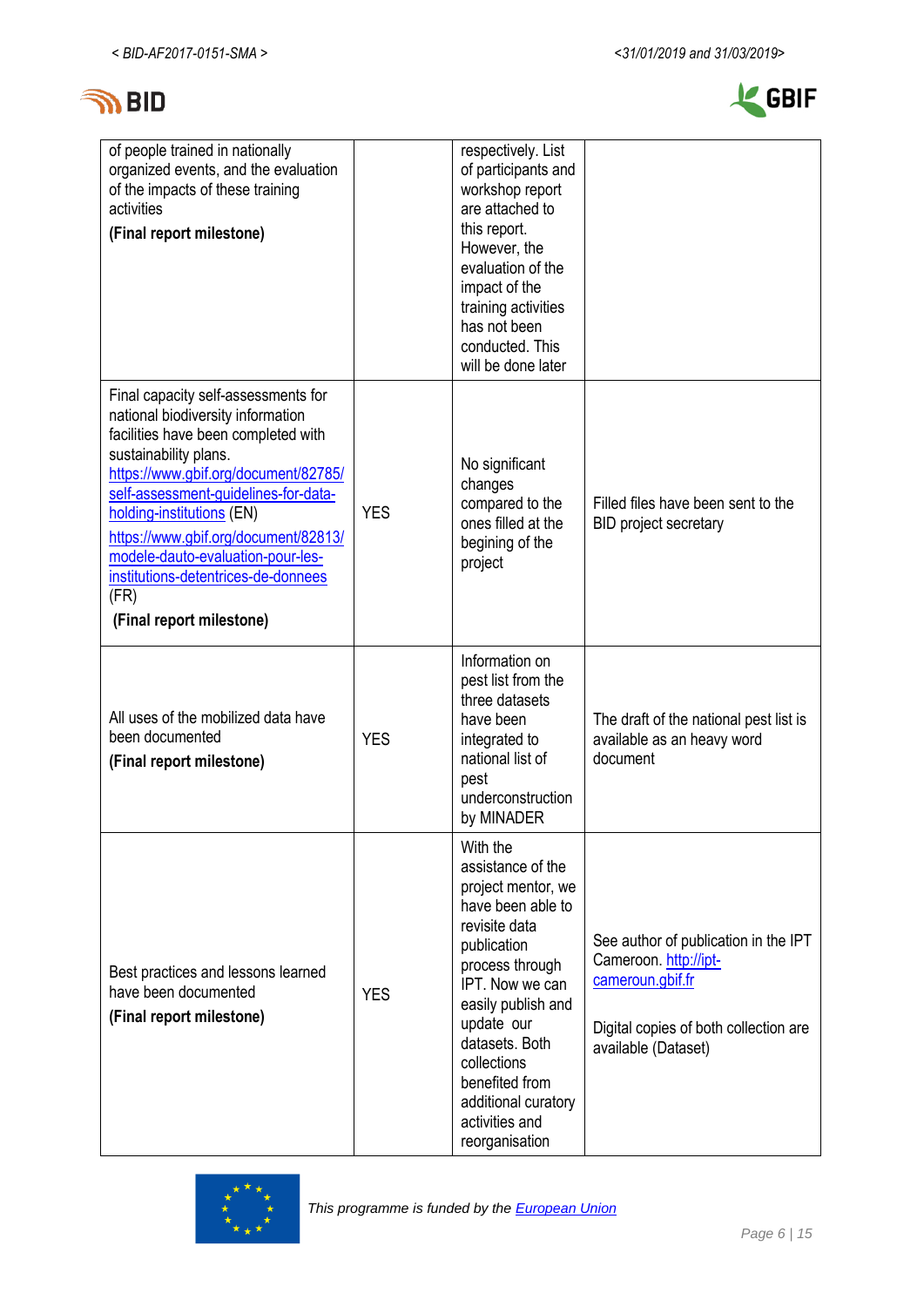



| of people trained in nationally<br>organized events, and the evaluation<br>of the impacts of these training<br>activities<br>(Final report milestone)                                                                                                                                                                                                                                                         |            | respectively. List<br>of participants and<br>workshop report<br>are attached to<br>this report.<br>However, the<br>evaluation of the<br>impact of the<br>training activities<br>has not been<br>conducted. This<br>will be done later                                                            |                                                                                                                                                   |
|---------------------------------------------------------------------------------------------------------------------------------------------------------------------------------------------------------------------------------------------------------------------------------------------------------------------------------------------------------------------------------------------------------------|------------|--------------------------------------------------------------------------------------------------------------------------------------------------------------------------------------------------------------------------------------------------------------------------------------------------|---------------------------------------------------------------------------------------------------------------------------------------------------|
| Final capacity self-assessments for<br>national biodiversity information<br>facilities have been completed with<br>sustainability plans.<br>https://www.gbif.org/document/82785/<br>self-assessment-guidelines-for-data-<br>holding-institutions (EN)<br>https://www.gbif.org/document/82813/<br>modele-dauto-evaluation-pour-les-<br>institutions-detentrices-de-donnees<br>(FR)<br>(Final report milestone) | <b>YES</b> | No significant<br>changes<br>compared to the<br>ones filled at the<br>begining of the<br>project                                                                                                                                                                                                 | Filled files have been sent to the<br><b>BID project secretary</b>                                                                                |
| All uses of the mobilized data have<br>been documented<br>(Final report milestone)                                                                                                                                                                                                                                                                                                                            | <b>YES</b> | Information on<br>pest list from the<br>three datasets<br>have been<br>integrated to<br>national list of<br>pest<br>underconstruction<br>by MINADER                                                                                                                                              | The draft of the national pest list is<br>available as an heavy word<br>document                                                                  |
| Best practices and lessons learned<br>have been documented<br>(Final report milestone)                                                                                                                                                                                                                                                                                                                        | <b>YES</b> | With the<br>assistance of the<br>project mentor, we<br>have been able to<br>revisite data<br>publication<br>process through<br>IPT. Now we can<br>easily publish and<br>update our<br>datasets. Both<br>collections<br>benefited from<br>additional curatory<br>activities and<br>reorganisation | See author of publication in the IPT<br>Cameroon. http://ipt-<br>cameroun.gbif.fr<br>Digital copies of both collection are<br>available (Dataset) |

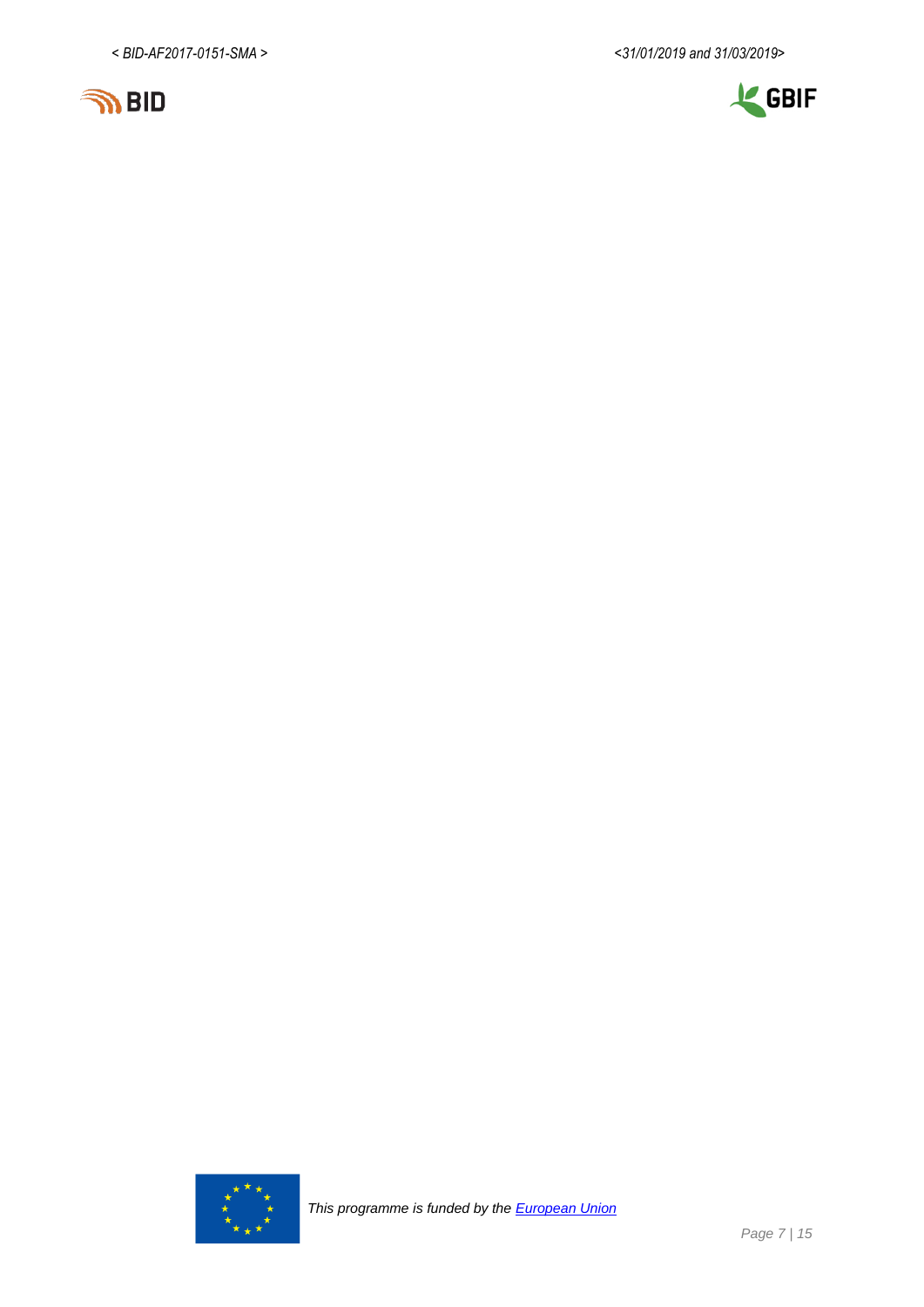





*< BID-AF2017-0151-SMA > <31/01/2019 and 31/03/2019>*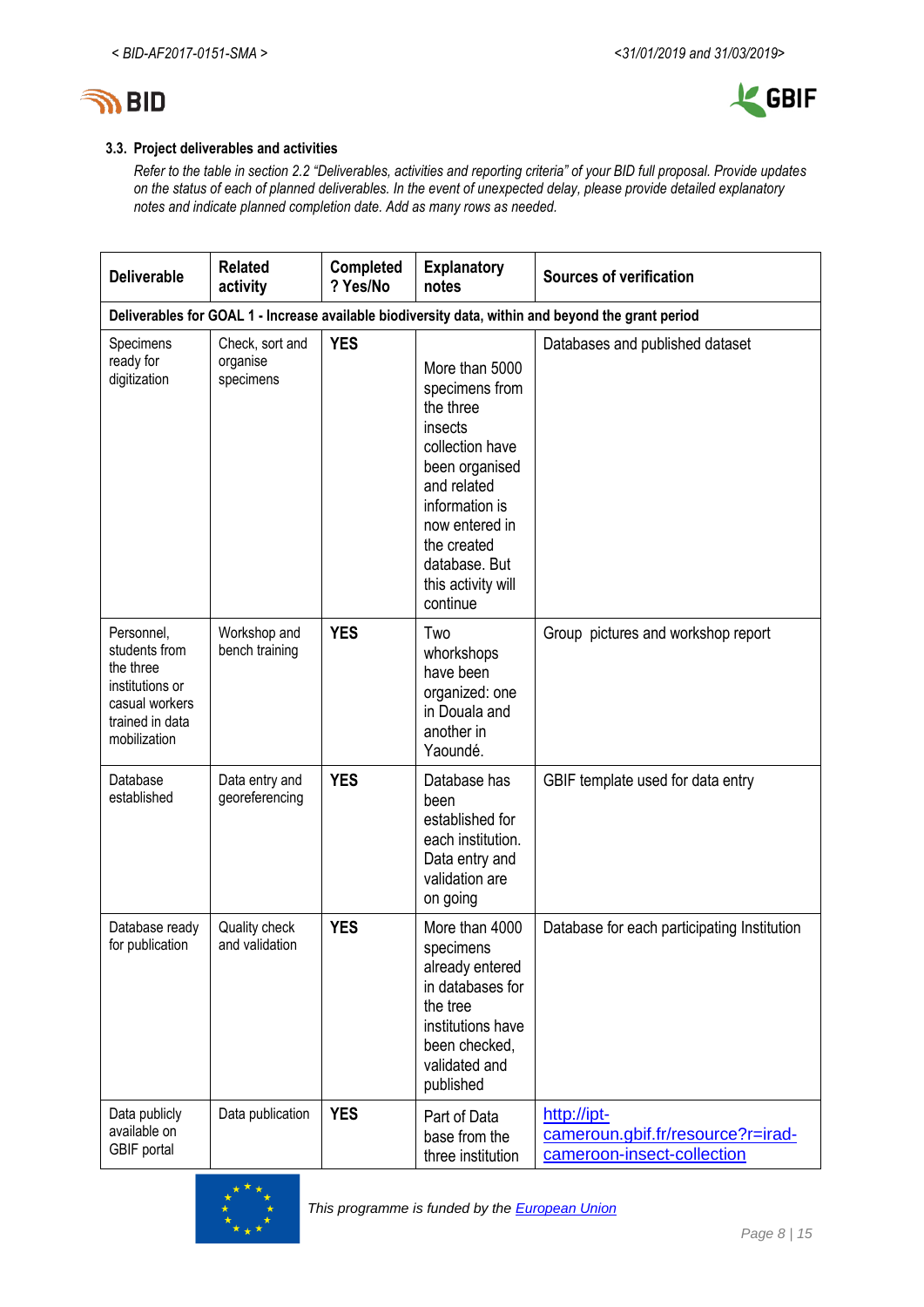



#### **3.3. Project deliverables and activities**

*Refer to the table in section 2.2 "Deliverables, activities and reporting criteria" of your BID full proposal. Provide updates on the status of each of planned deliverables. In the event of unexpected delay, please provide detailed explanatory notes and indicate planned completion date. Add as many rows as needed.*

| <b>Deliverable</b>                                                                                               | <b>Related</b><br>activity               | <b>Completed</b><br>? Yes/No | <b>Explanatory</b><br>notes                                                                                                                                                                                        | <b>Sources of verification</b>                                                                     |
|------------------------------------------------------------------------------------------------------------------|------------------------------------------|------------------------------|--------------------------------------------------------------------------------------------------------------------------------------------------------------------------------------------------------------------|----------------------------------------------------------------------------------------------------|
|                                                                                                                  |                                          |                              |                                                                                                                                                                                                                    | Deliverables for GOAL 1 - Increase available biodiversity data, within and beyond the grant period |
| Specimens<br>ready for<br>digitization                                                                           | Check, sort and<br>organise<br>specimens | <b>YES</b>                   | More than 5000<br>specimens from<br>the three<br>insects<br>collection have<br>been organised<br>and related<br>information is<br>now entered in<br>the created<br>database. But<br>this activity will<br>continue | Databases and published dataset                                                                    |
| Personnel,<br>students from<br>the three<br>institutions or<br>casual workers<br>trained in data<br>mobilization | Workshop and<br>bench training           | <b>YES</b>                   | Two<br>whorkshops<br>have been<br>organized: one<br>in Douala and<br>another in<br>Yaoundé.                                                                                                                        | Group pictures and workshop report                                                                 |
| Database<br>established                                                                                          | Data entry and<br>georeferencing         | <b>YES</b>                   | Database has<br>been<br>established for<br>each institution.<br>Data entry and<br>validation are<br>on going                                                                                                       | GBIF template used for data entry                                                                  |
| Database ready<br>for publication                                                                                | Quality check<br>and validation          | <b>YES</b>                   | More than 4000<br>specimens<br>already entered<br>in databases for<br>the tree<br>institutions have<br>been checked,<br>validated and<br>published                                                                 | Database for each participating Institution                                                        |
| Data publicly<br>available on<br>GBIF portal                                                                     | Data publication                         | <b>YES</b>                   | Part of Data<br>base from the<br>three institution                                                                                                                                                                 | http://ipt-<br>cameroun.gbif.fr/resource?r=irad-<br>cameroon-insect-collection                     |

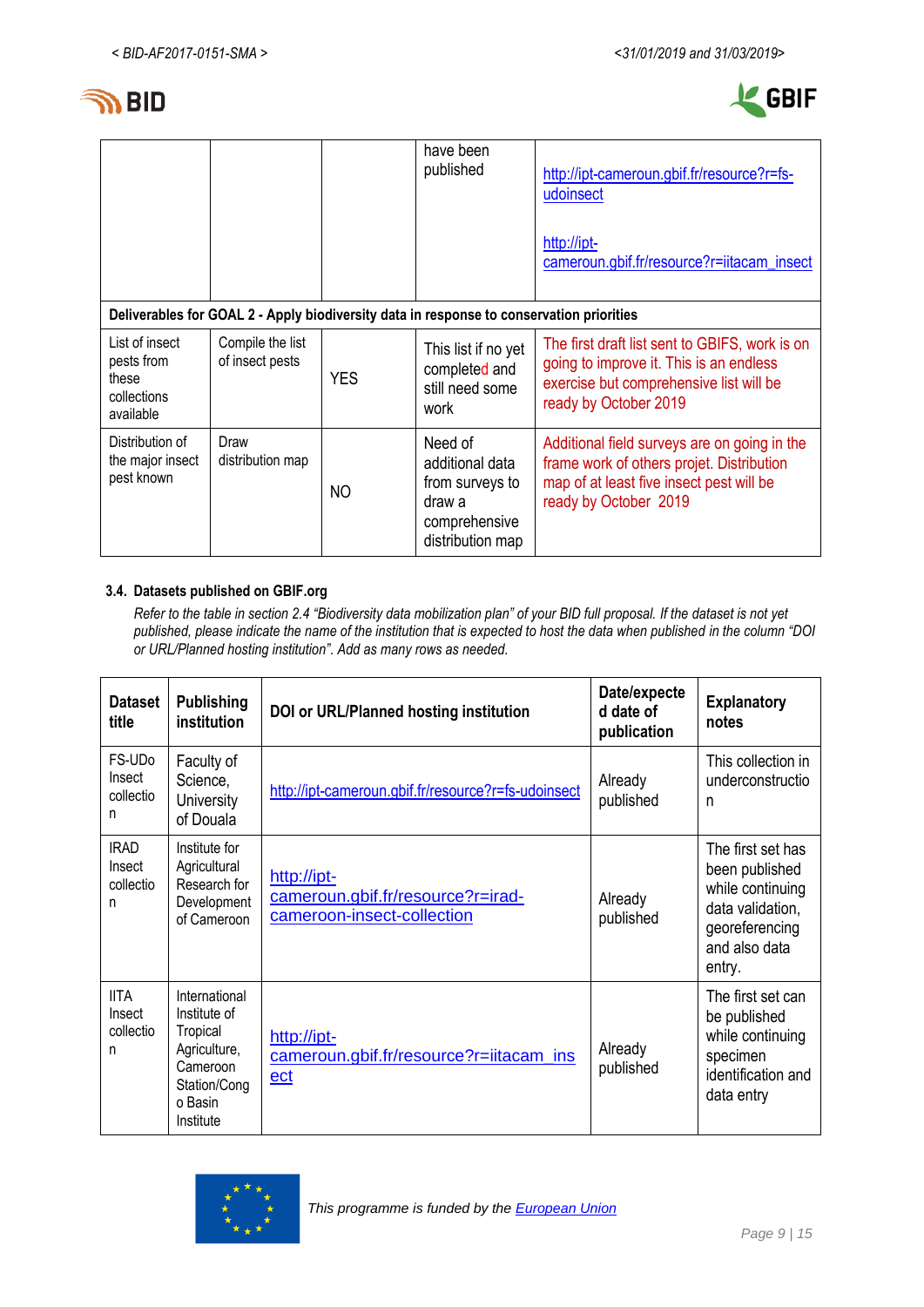



|                                                                   |                                     |                | have been<br>published                                                                       | http://ipt-cameroun.gbif.fr/resource?r=fs-<br>udoinsect<br>http://ipt-<br>cameroun.gbif.fr/resource?r=iitacam_insect                                           |
|-------------------------------------------------------------------|-------------------------------------|----------------|----------------------------------------------------------------------------------------------|----------------------------------------------------------------------------------------------------------------------------------------------------------------|
|                                                                   |                                     |                | Deliverables for GOAL 2 - Apply biodiversity data in response to conservation priorities     |                                                                                                                                                                |
| List of insect<br>pests from<br>these<br>collections<br>available | Compile the list<br>of insect pests | <b>YES</b>     | This list if no yet<br>completed and<br>still need some<br>work                              | The first draft list sent to GBIFS, work is on<br>going to improve it. This is an endless<br>exercise but comprehensive list will be<br>ready by October 2019  |
| Distribution of<br>the major insect<br>pest known                 | Draw<br>distribution map            | N <sub>O</sub> | Need of<br>additional data<br>from surveys to<br>draw a<br>comprehensive<br>distribution map | Additional field surveys are on going in the<br>frame work of others projet. Distribution<br>map of at least five insect pest will be<br>ready by October 2019 |

#### **3.4. Datasets published on GBIF.org**

*Refer to the table in section 2.4 "Biodiversity data mobilization plan" of your BID full proposal. If the dataset is not yet published, please indicate the name of the institution that is expected to host the data when published in the column "DOI or URL/Planned hosting institution". Add as many rows as needed.*

| <b>Dataset</b><br>title                        | <b>Publishing</b><br>institution                                                                              | DOI or URL/Planned hosting institution                                         | Date/expecte<br>d date of<br>publication | <b>Explanatory</b><br>notes                                                                                              |
|------------------------------------------------|---------------------------------------------------------------------------------------------------------------|--------------------------------------------------------------------------------|------------------------------------------|--------------------------------------------------------------------------------------------------------------------------|
| FS-UD <sub>o</sub><br>Insect<br>collectio<br>n | Faculty of<br>Science,<br>University<br>of Douala                                                             | http://ipt-cameroun.gbif.fr/resource?r=fs-udoinsect                            | Already<br>published                     | This collection in<br>underconstructio<br>n                                                                              |
| <b>IRAD</b><br>Insect<br>collectio<br>n        | Institute for<br>Agricultural<br>Research for<br>Development<br>of Cameroon                                   | http://ipt-<br>cameroun.gbif.fr/resource?r=irad-<br>cameroon-insect-collection | Already<br>published                     | The first set has<br>been published<br>while continuing<br>data validation,<br>georeferencing<br>and also data<br>entry. |
| <b>IITA</b><br>Insect<br>collectio<br>n        | International<br>Institute of<br>Tropical<br>Agriculture,<br>Cameroon<br>Station/Cong<br>o Basin<br>Institute | http://ipt-<br>cameroun.gbif.fr/resource?r=iitacam_ins<br><u>ect</u>           | Already<br>published                     | The first set can<br>be published<br>while continuing<br>specimen<br>identification and<br>data entry                    |

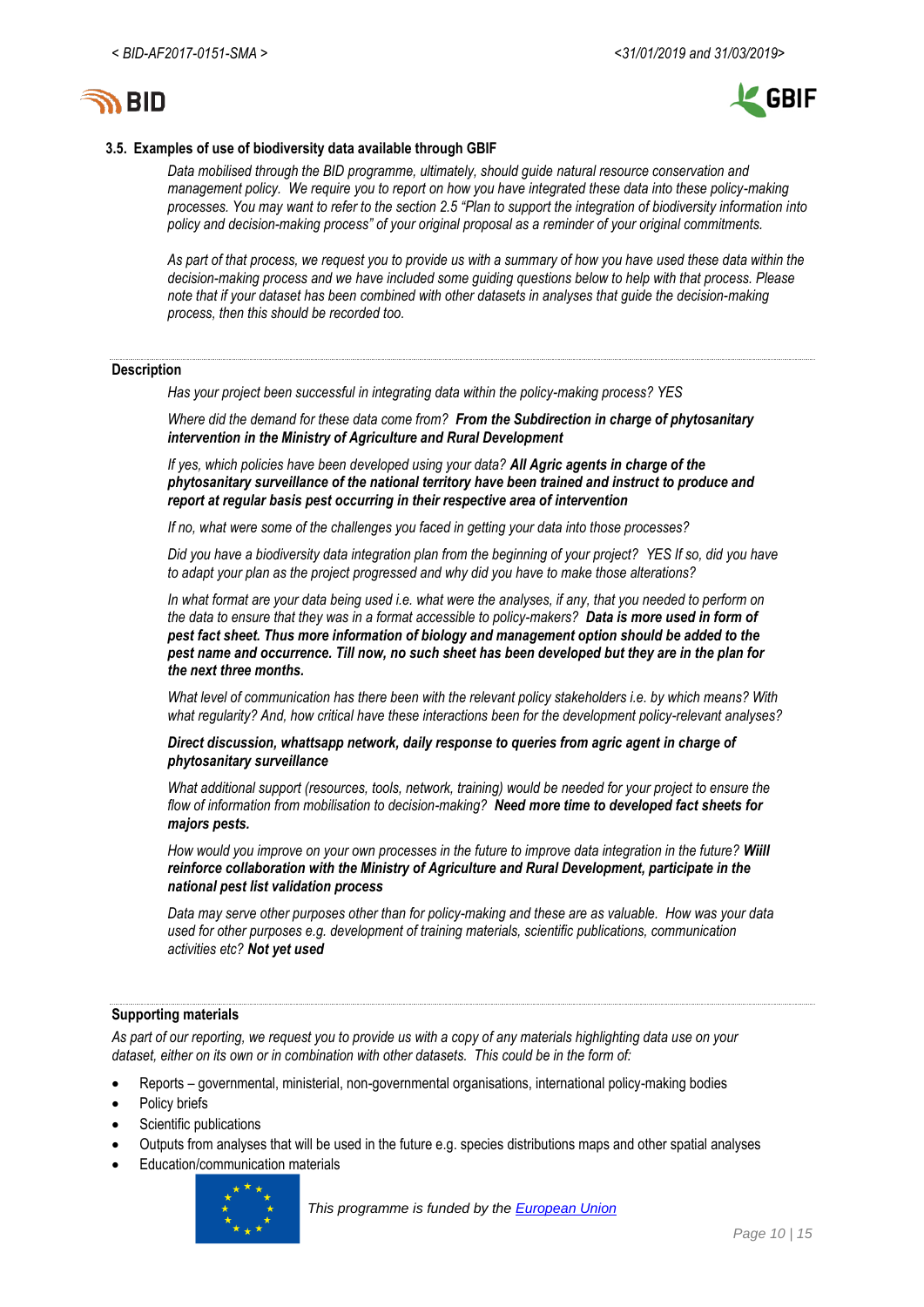



#### **3.5. Examples of use of biodiversity data available through GBIF**

*Data mobilised through the BID programme, ultimately, should guide natural resource conservation and management policy. We require you to report on how you have integrated these data into these policy-making processes. You may want to refer to the section 2.5 "Plan to support the integration of biodiversity information into policy and decision-making process" of your original proposal as a reminder of your original commitments.* 

*As part of that process, we request you to provide us with a summary of how you have used these data within the decision-making process and we have included some guiding questions below to help with that process. Please note that if your dataset has been combined with other datasets in analyses that guide the decision-making process, then this should be recorded too.* 

#### **Description**

*Has your project been successful in integrating data within the policy-making process? YES*

*Where did the demand for these data come from? From the Subdirection in charge of phytosanitary intervention in the Ministry of Agriculture and Rural Development*

*If yes, which policies have been developed using your data? All Agric agents in charge of the phytosanitary surveillance of the national territory have been trained and instruct to produce and report at regular basis pest occurring in their respective area of intervention*

*If no, what were some of the challenges you faced in getting your data into those processes?*

*Did you have a biodiversity data integration plan from the beginning of your project? YES If so, did you have to adapt your plan as the project progressed and why did you have to make those alterations?* 

*In what format are your data being used i.e. what were the analyses, if any, that you needed to perform on the data to ensure that they was in a format accessible to policy-makers? Data is more used in form of pest fact sheet. Thus more information of biology and management option should be added to the pest name and occurrence. Till now, no such sheet has been developed but they are in the plan for the next three months.*

*What level of communication has there been with the relevant policy stakeholders i.e. by which means? With what regularity? And, how critical have these interactions been for the development policy-relevant analyses?* 

#### *Direct discussion, whattsapp network, daily response to queries from agric agent in charge of phytosanitary surveillance*

*What additional support (resources, tools, network, training) would be needed for your project to ensure the flow of information from mobilisation to decision-making? Need more time to developed fact sheets for majors pests.*

*How would you improve on your own processes in the future to improve data integration in the future? Wiill reinforce collaboration with the Ministry of Agriculture and Rural Development, participate in the national pest list validation process*

*Data may serve other purposes other than for policy-making and these are as valuable. How was your data used for other purposes e.g. development of training materials, scientific publications, communication activities etc? Not yet used*

#### **Supporting materials**

*As part of our reporting, we request you to provide us with a copy of any materials highlighting data use on your dataset, either on its own or in combination with other datasets. This could be in the form of:*

- Reports governmental, ministerial, non-governmental organisations, international policy-making bodies
- Policy briefs
- Scientific publications
- Outputs from analyses that will be used in the future e.g. species distributions maps and other spatial analyses
- Education/communication materials

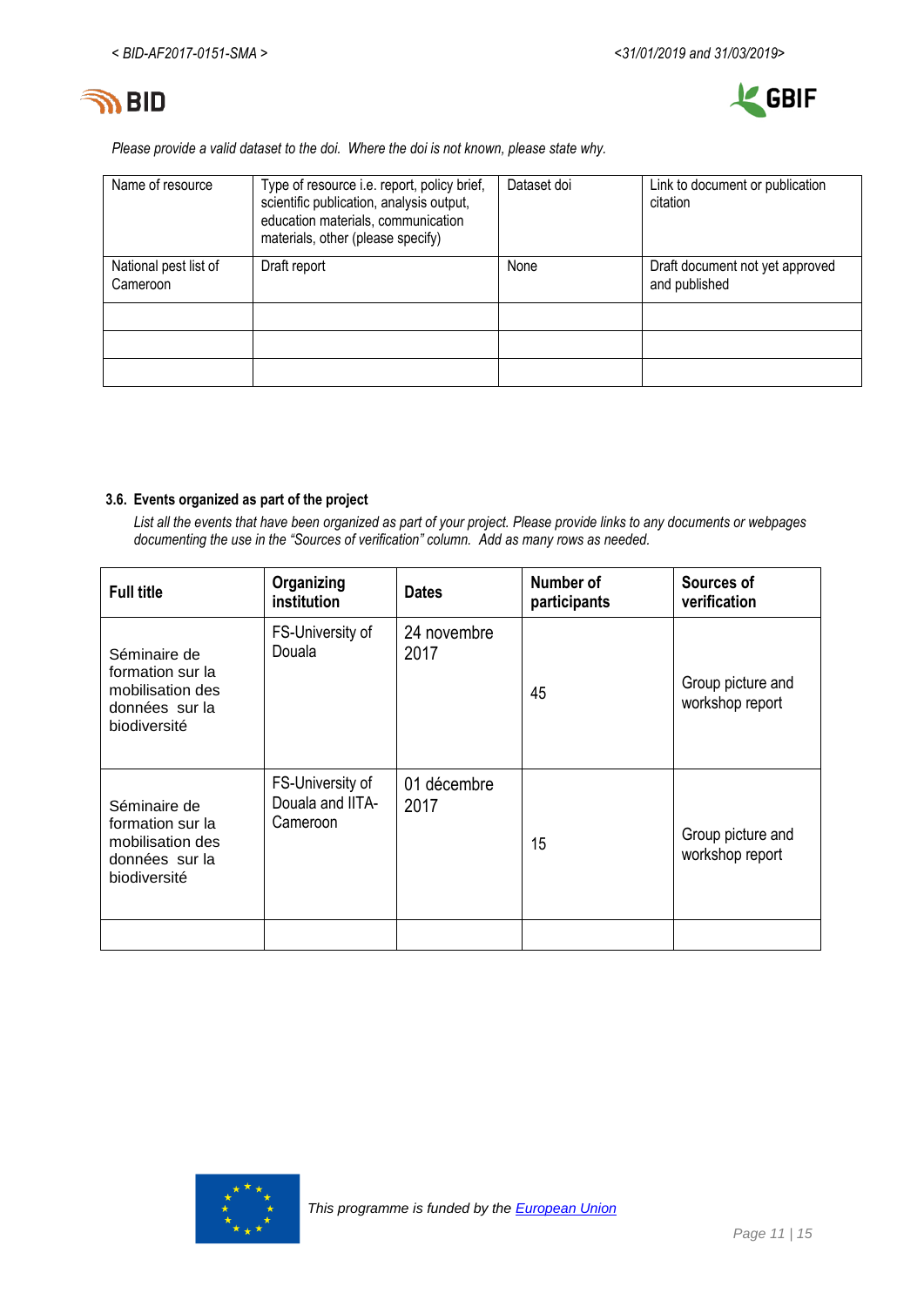



*Please provide a valid dataset to the doi. Where the doi is not known, please state why.*

| Name of resource                  | Type of resource i.e. report, policy brief,<br>scientific publication, analysis output,<br>education materials, communication<br>materials, other (please specify) | Dataset doi | Link to document or publication<br>citation      |
|-----------------------------------|--------------------------------------------------------------------------------------------------------------------------------------------------------------------|-------------|--------------------------------------------------|
| National pest list of<br>Cameroon | Draft report                                                                                                                                                       | None        | Draft document not yet approved<br>and published |
|                                   |                                                                                                                                                                    |             |                                                  |
|                                   |                                                                                                                                                                    |             |                                                  |
|                                   |                                                                                                                                                                    |             |                                                  |

#### **3.6. Events organized as part of the project**

*List all the events that have been organized as part of your project. Please provide links to any documents or webpages documenting the use in the "Sources of verification" column. Add as many rows as needed.*

| <b>Full title</b>                                                                      | Organizing<br>institution                        | <b>Dates</b>        | Number of<br>participants | Sources of<br>verification           |
|----------------------------------------------------------------------------------------|--------------------------------------------------|---------------------|---------------------------|--------------------------------------|
| Séminaire de<br>formation sur la<br>mobilisation des<br>données sur la<br>biodiversité | FS-University of<br>Douala                       | 24 novembre<br>2017 | 45                        | Group picture and<br>workshop report |
| Séminaire de<br>formation sur la<br>mobilisation des<br>données sur la<br>biodiversité | FS-University of<br>Douala and IITA-<br>Cameroon | 01 décembre<br>2017 | 15                        | Group picture and<br>workshop report |
|                                                                                        |                                                  |                     |                           |                                      |

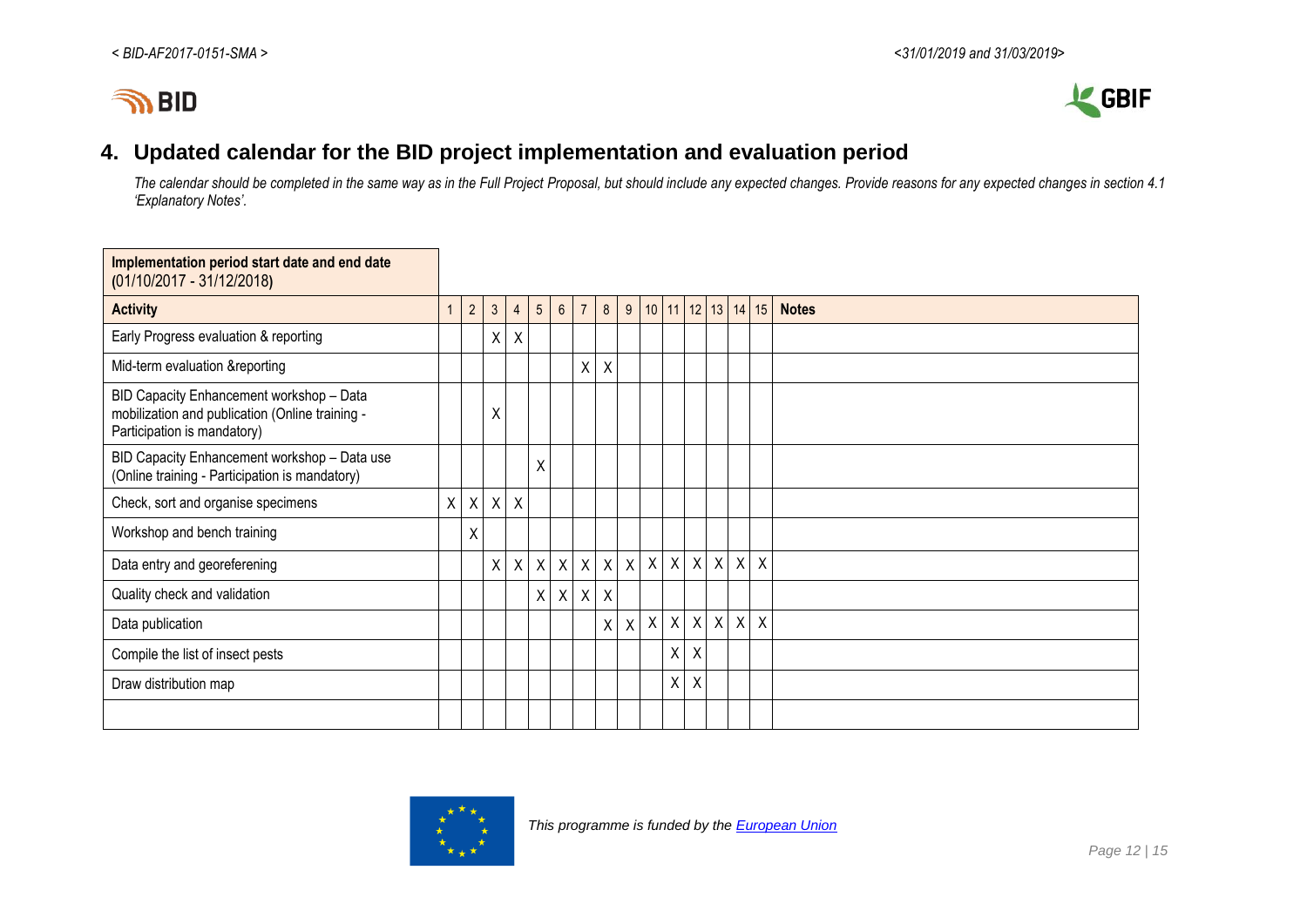# **IN BID**



## **4. Updated calendar for the BID project implementation and evaluation period**

*The calendar should be completed in the same way as in the Full Project Proposal, but should include any expected changes. Provide reasons for any expected changes in section 4.1 'Explanatory Notes'.*

<span id="page-11-0"></span>

| Implementation period start date and end date<br>$(01/10/2017 - 31/12/2018)$                                               |   |              |                  |                |                |                |                |                  |              |                 |              |              |              |                                      |              |                           |              |
|----------------------------------------------------------------------------------------------------------------------------|---|--------------|------------------|----------------|----------------|----------------|----------------|------------------|--------------|-----------------|--------------|--------------|--------------|--------------------------------------|--------------|---------------------------|--------------|
| <b>Activity</b>                                                                                                            |   | $\sqrt{2}$   | $\mathfrak{Z}$   | $\overline{4}$ | $\overline{5}$ | $6\phantom{.}$ | $\overline{7}$ | $8\phantom{.}$   | $9\,$        | 10 <sup>°</sup> |              |              |              | $11 \mid 12 \mid 13 \mid 14 \mid 15$ |              |                           | <b>Notes</b> |
| Early Progress evaluation & reporting                                                                                      |   |              | Χ                | X              |                |                |                |                  |              |                 |              |              |              |                                      |              |                           |              |
| Mid-term evaluation & reporting                                                                                            |   |              |                  |                |                |                | $\mathsf{X}$   | X                |              |                 |              |              |              |                                      |              |                           |              |
| BID Capacity Enhancement workshop - Data<br>mobilization and publication (Online training -<br>Participation is mandatory) |   |              | X                |                |                |                |                |                  |              |                 |              |              |              |                                      |              |                           |              |
| BID Capacity Enhancement workshop - Data use<br>(Online training - Participation is mandatory)                             |   |              |                  |                | X              |                |                |                  |              |                 |              |              |              |                                      |              |                           |              |
| Check, sort and organise specimens                                                                                         | X | $\mathsf{X}$ | $\boldsymbol{X}$ | $\mathsf{X}$   |                |                |                |                  |              |                 |              |              |              |                                      |              |                           |              |
| Workshop and bench training                                                                                                |   | X            |                  |                |                |                |                |                  |              |                 |              |              |              |                                      |              |                           |              |
| Data entry and georeferening                                                                                               |   |              | Χ                | $\mathsf{X}$   | X              | $\mathsf{X}$   | $\mathsf{X}$   | $\boldsymbol{X}$ |              | x x             | $\mathsf{X}$ | $\mathsf{X}$ | $\mathsf{X}$ |                                      | $\mathsf{X}$ | $\boldsymbol{\mathsf{X}}$ |              |
| Quality check and validation                                                                                               |   |              |                  |                |                | $X$ $X$        | $\mathsf{X}$   | $\sf X$          |              |                 |              |              |              |                                      |              |                           |              |
| Data publication                                                                                                           |   |              |                  |                |                |                |                | X                | $\mathsf{X}$ | X               | $\mathsf{X}$ | $\mathsf{X}$ | $\mathsf{X}$ |                                      | $\mathsf{X}$ | $\boldsymbol{\mathsf{X}}$ |              |
| Compile the list of insect pests                                                                                           |   |              |                  |                |                |                |                |                  |              |                 | X            | Χ            |              |                                      |              |                           |              |
| Draw distribution map                                                                                                      |   |              |                  |                |                |                |                |                  |              |                 | $\mathsf{X}$ | Χ            |              |                                      |              |                           |              |
|                                                                                                                            |   |              |                  |                |                |                |                |                  |              |                 |              |              |              |                                      |              |                           |              |

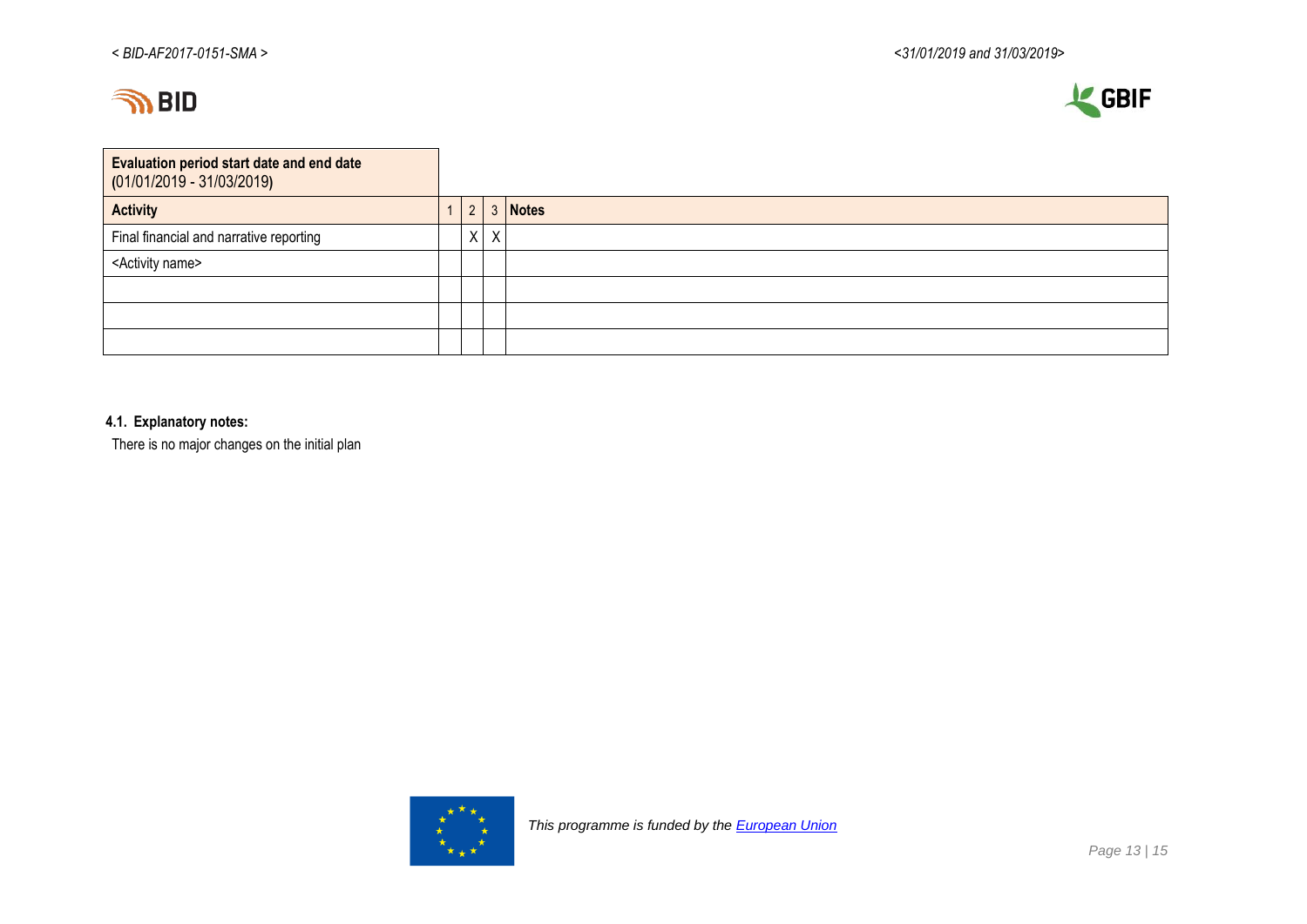



| Evaluation period start date and end date<br>$(01/01/2019 - 31/03/2019)$ |  |                |              |         |
|--------------------------------------------------------------------------|--|----------------|--------------|---------|
| <b>Activity</b>                                                          |  | 2 <sup>1</sup> |              | 3 Notes |
| Final financial and narrative reporting                                  |  | $X \mid$       | $\checkmark$ |         |
| <activity name=""></activity>                                            |  |                |              |         |
|                                                                          |  |                |              |         |
|                                                                          |  |                |              |         |
|                                                                          |  |                |              |         |

## **4.1. Explanatory notes:**

There is no major changes on the initial plan

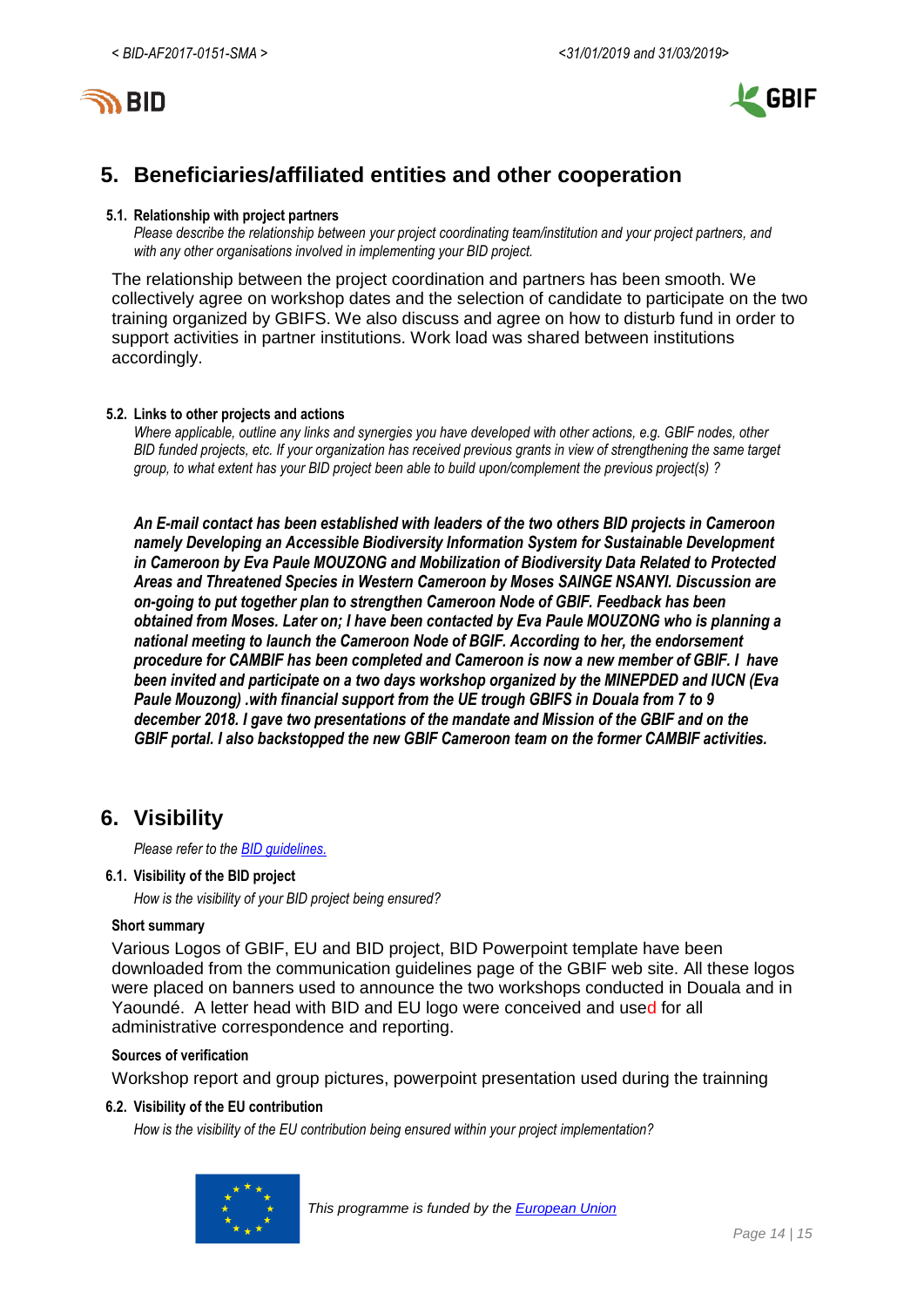



# <span id="page-13-0"></span>**5. Beneficiaries/affiliated entities and other cooperation**

#### **5.1. Relationship with project partners**

*Please describe the relationship between your project coordinating team/institution and your project partners, and with any other organisations involved in implementing your BID project.*

The relationship between the project coordination and partners has been smooth. We collectively agree on workshop dates and the selection of candidate to participate on the two training organized by GBIFS. We also discuss and agree on how to disturb fund in order to support activities in partner institutions. Work load was shared between institutions accordingly.

#### **5.2. Links to other projects and actions**

*Where applicable, outline any links and synergies you have developed with other actions, e.g. GBIF nodes, other BID funded projects, etc. If your organization has received previous grants in view of strengthening the same target group, to what extent has your BID project been able to build upon/complement the previous project(s) ?*

*An E-mail contact has been established with leaders of the two others BID projects in Cameroon namely Developing an Accessible Biodiversity Information System for Sustainable Development in Cameroon by Eva Paule MOUZONG and Mobilization of Biodiversity Data Related to Protected Areas and Threatened Species in Western Cameroon by Moses SAINGE NSANYI. Discussion are on-going to put together plan to strengthen Cameroon Node of GBIF. Feedback has been obtained from Moses. Later on; I have been contacted by Eva Paule MOUZONG who is planning a national meeting to launch the Cameroon Node of BGIF. According to her, the endorsement procedure for CAMBIF has been completed and Cameroon is now a new member of GBIF. I have been invited and participate on a two days workshop organized by the MINEPDED and IUCN (Eva Paule Mouzong) .with financial support from the UE trough GBIFS in Douala from 7 to 9 december 2018. I gave two presentations of the mandate and Mission of the GBIF and on the GBIF portal. I also backstopped the new GBIF Cameroon team on the former CAMBIF activities.*

## <span id="page-13-1"></span>**6. Visibility**

*Please refer to th[e BID guidelines.](http://bid.gbif.org/en/community/communication-guidelines/)*

#### **6.1. Visibility of the BID project**

*How is the visibility of your BID project being ensured?*

#### **Short summary**

Various Logos of GBIF, EU and BID project, BID Powerpoint template have been downloaded from the communication guidelines page of the GBIF web site. All these logos were placed on banners used to announce the two workshops conducted in Douala and in Yaoundé. A letter head with BID and EU logo were conceived and used for all administrative correspondence and reporting.

#### **Sources of verification**

Workshop report and group pictures, powerpoint presentation used during the trainning

#### **6.2. Visibility of the EU contribution**

*How is the visibility of the EU contribution being ensured within your project implementation?*